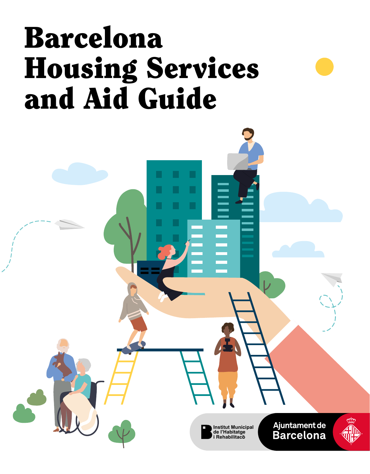## Barcelona Housing Services and Aid Guide

Ajuntament de<br>**Barcelona Institut Municipal de l'Habitatge i Rehabilitació**

П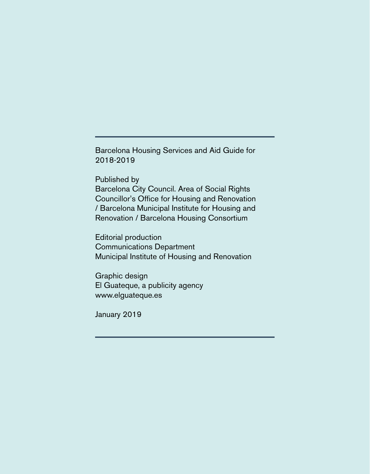Barcelona Housing Services and Aid Guide for 2018-2019

Published by Barcelona City Council. Area of Social Rights Councillor's Office for Housing and Renovation / Barcelona Municipal Institute for Housing and Renovation / Barcelona Housing Consortium

Editorial production Communications Department Municipal Institute of Housing and Renovation

Graphic design El Guateque, a publicity agency www.elguateque.es

January 2019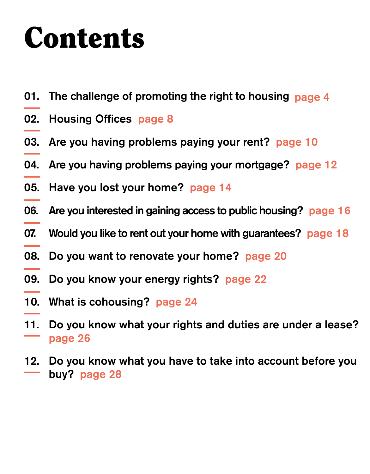# Contents

- 01. The challenge of promoting the right to housing page 4
- 02. Housing Offices page 8
- 03. Are you having problems paying your rent? page 10
- 04. Are you having problems paying your mortgage? page 12
- 05. Have you lost your home? page 14
- 06. Are you interested in gaining access to public housing? page 16
- 07. Would you like to rent out your home with guarantees? page 18
- 08. Do you want to renovate your home? page 20
- 09. Do you know your energy rights? page 22
- 10. What is cohousing? page 24
- 11. Do you know what your rights and duties are under a lease?
- 12. Do you know what you have to take into account before you page 26<br>Do you know v<br>buy? page 28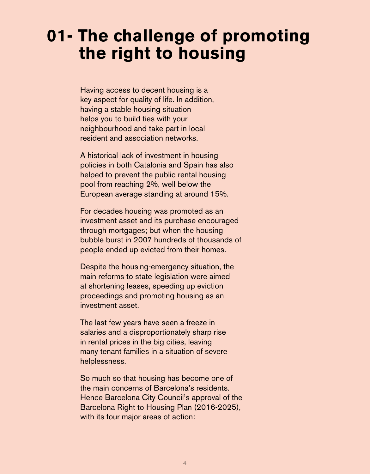### **01- The challenge of promoting the right to housing**

Having access to decent housing is a key aspect for quality of life. In addition, having a stable housing situation helps you to build ties with your neighbourhood and take part in local resident and association networks.

A historical lack of investment in housing policies in both Catalonia and Spain has also helped to prevent the public rental housing pool from reaching 2%, well below the European average standing at around 15%.

For decades housing was promoted as an investment asset and its purchase encouraged through mortgages; but when the housing bubble burst in 2007 hundreds of thousands of people ended up evicted from their homes.

Despite the housing-emergency situation, the main reforms to state legislation were aimed at shortening leases, speeding up eviction proceedings and promoting housing as an investment asset.

The last few years have seen a freeze in salaries and a disproportionately sharp rise in rental prices in the big cities, leaving many tenant families in a situation of severe helplessness.

So much so that housing has become one of the main concerns of Barcelona's residents. Hence Barcelona City Council's approval of the Barcelona Right to Housing Plan (2016-2025), with its four major areas of action: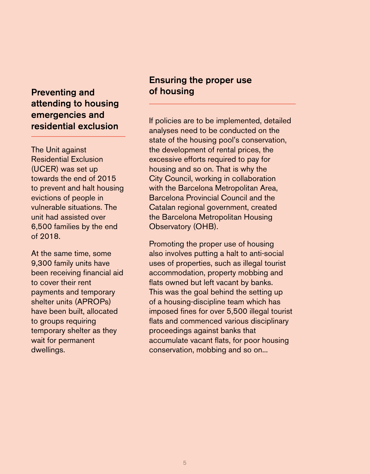#### Preventing and attending to housing emergencies and residential exclusion

The Unit against Residential Exclusion (UCER) was set up towards the end of 2015 to prevent and halt housing evictions of people in vulnerable situations. The unit had assisted over 6,500 families by the end of 2018.

At the same time, some 9,300 family units have been receiving financial aid to cover their rent payments and temporary shelter units (APROPs) have been built, allocated to groups requiring temporary shelter as they wait for permanent dwellings.

#### Ensuring the proper use of housing

If policies are to be implemented, detailed analyses need to be conducted on the state of the housing pool's conservation, the development of rental prices, the excessive efforts required to pay for housing and so on. That is why the City Council, working in collaboration with the Barcelona Metropolitan Area, Barcelona Provincial Council and the Catalan regional government, created the Barcelona Metropolitan Housing Observatory (OHB).

Promoting the proper use of housing also involves putting a halt to anti-social uses of properties, such as illegal tourist accommodation, property mobbing and flats owned but left vacant by banks. This was the goal behind the setting up of a housing-discipline team which has imposed fines for over 5,500 illegal tourist flats and commenced various disciplinary proceedings against banks that accumulate vacant flats, for poor housing conservation, mobbing and so on...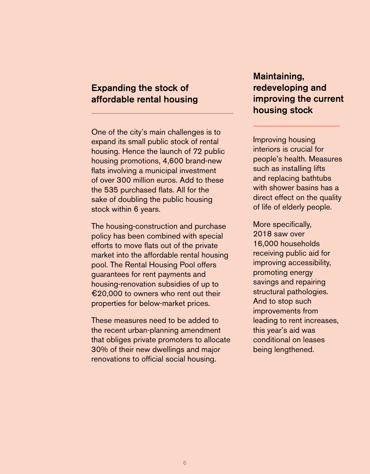#### Expanding the stock of affordable rental housing

One of the city's main challenges is to expand its small public stock of rental housing. Hence the launch of 72 public housing promotions, 4,600 brand-new flats involving a municipal investment of over 300 million euros. Add to these the 535 purchased flats. All for the sake of doubling the public housing stock within 6 years.

The housing-construction and purchase policy has been combined with special efforts to move flats out of the private market into the affordable rental housing pool. The Rental Housing Pool offers guarantees for rent payments and housing-renovation subsidies of up to €20,000 to owners who rent out their properties for below-market prices.

These measures need to be added to the recent urban-planning amendment that obliges private promoters to allocate 30% of their new dwellings and major renovations to official social housing.

#### Maintaining, redeveloping and improving the current housing stock

Improving housing interiors is crucial for people's health. Measures such as installing lifts and replacing bathtubs with shower basins has a direct effect on the quality of life of elderly people.

More specifically, 2018 saw over 16,000 households receiving public aid for improving accessibility, promoting energy savings and repairing structural pathologies. And to stop such improvements from leading to rent increases, this year's aid was conditional on leases being lengthened.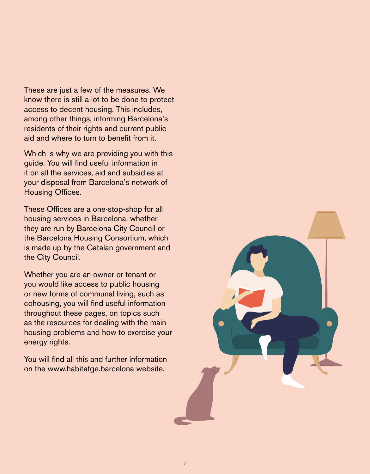These are just a few of the measures. We know there is still a lot to be done to protect access to decent housing. This includes, among other things, informing Barcelona's residents of their rights and current public aid and where to turn to benefit from it.

Which is why we are providing you with this guide. You will find useful information in it on all the services, aid and subsidies at your disposal from Barcelona's network of Housing Offices.

These Offices are a one-stop-shop for all housing services in Barcelona, whether they are run by Barcelona City Council or the Barcelona Housing Consortium, which is made up by the Catalan government and the City Council.

Whether you are an owner or tenant or you would like access to public housing or new forms of communal living, such as cohousing, you will find useful information throughout these pages, on topics such as the resources for dealing with the main housing problems and how to exercise your energy rights.

You will find all this and further information on the<www.habitatge.barcelona>website.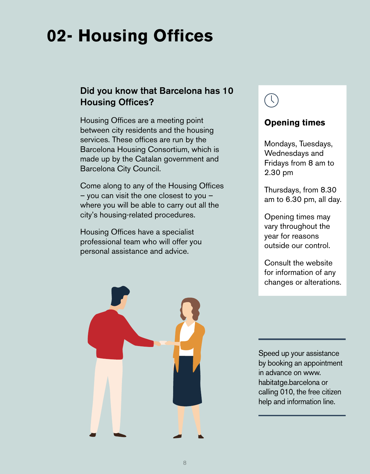## **02- Housing Offices**

#### Did you know that Barcelona has 10 Housing Offices?

Housing Offices are a meeting point between city residents and the housing services. These offices are run by the Barcelona Housing Consortium, which is made up by the Catalan government and Barcelona City Council.

Come along to any of the Housing Offices  $-$  you can visit the one closest to you  $$ where you will be able to carry out all the city's housing-related procedures.

Housing Offices have a specialist professional team who will offer you personal assistance and advice.



#### **Opening times**

Mondays, Tuesdays, Wednesdays and Fridays from 8 am to 2.30 pm

Thursdays, from 8.30 am to 6.30 pm, all day.

Opening times may vary throughout the year for reasons outside our control.

Consult the website for information of any changes or alterations.

Speed up your assistance by booking an appointment in advance on [www.](http://www.habitatge.barcelona)  [habitatge.barcelona](http://www.habitatge.barcelona) or calling 010, the free citizen help and information line.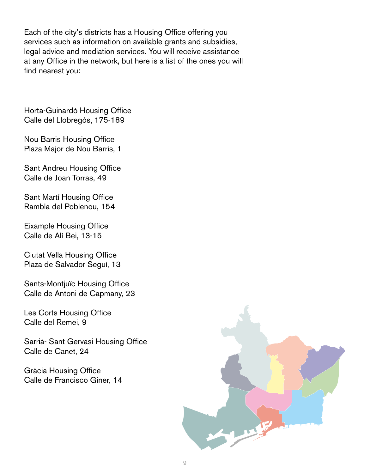Each of the city's districts has a Housing Office offering you services such as information on available grants and subsidies, legal advice and mediation services. You will receive assistance at any Office in the network, but here is a list of the ones you will find nearest you:

Horta-Guinardó Housing Office Calle del Llobregós, 175-189

Nou Barris Housing Office Plaza Major de Nou Barris, 1

Sant Andreu Housing Office Calle de Joan Torras, 49

Sant Martí Housing Office Rambla del Poblenou, 154

Eixample Housing Office Calle de Alí Bei, 13-15

Ciutat Vella Housing Office Plaza de Salvador Seguí, 13

Sants-Montjuïc Housing Office Calle de Antoni de Capmany, 23

Les Corts Housing Office Calle del Remei, 9

Sarrià- Sant Gervasi Housing Office Calle de Canet, 24

Gràcia Housing Office Calle de Francisco Giner, 14

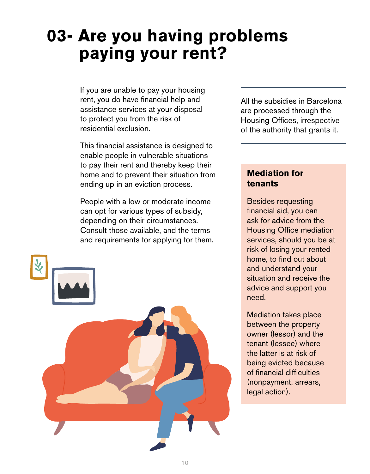### **03- Are you having problems paying your rent?**

If you are unable to pay your housing rent, you do have financial help and assistance services at your disposal to protect you from the risk of residential exclusion.

This financial assistance is designed to enable people in vulnerable situations to pay their rent and thereby keep their home and to prevent their situation from ending up in an eviction process.

People with a low or moderate income can opt for various types of subsidy, depending on their circumstances. Consult those available, and the terms and requirements for applying for them.

All the subsidies in Barcelona are processed through the Housing Offices, irrespective of the authority that grants it.

#### **Mediation for tenants**

Besides requesting financial aid, you can ask for advice from the Housing Office mediation services, should you be at risk of losing your rented home, to find out about and understand your situation and receive the advice and support you need.

Mediation takes place between the property owner (lessor) and the tenant (lessee) where the latter is at risk of being evicted because of financial difficulties (nonpayment, arrears, legal action).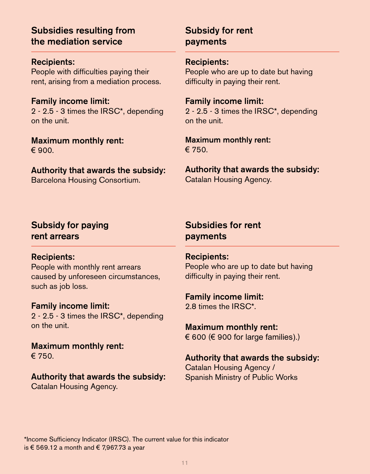#### Subsidies resulting from the mediation service

#### Recipients:

People with difficulties paying their rent, arising from a mediation process.

Family income limit: 2 - 2.5 - 3 times the IRSC\*, depending on the unit.

Maximum monthly rent:  $\epsilon$  900

Authority that awards the subsidy:

Barcelona Housing Consortium.

#### Subsidy for rent payments

#### Recipients:

People who are up to date but having difficulty in paying their rent.

#### Family income limit:

2 - 2.5 - 3 times the IRSC\*, depending on the unit.

Maximum monthly rent: € 750.

Authority that awards the subsidy: Catalan Housing Agency.

#### Subsidy for paying rent arrears

#### Recipients:

People with monthly rent arrears caused by unforeseen circumstances, such as job loss.

Family income limit: 2 - 2.5 - 3 times the IRSC\*, depending on the unit.

Maximum monthly rent: € 750.

#### Authority that awards the subsidy:

Catalan Housing Agency.

#### Subsidies for rent payments

#### Recipients:

People who are up to date but having difficulty in paying their rent.

Family income limit: 2.8 times the IRSC\*.

### Maximum monthly rent:

 $\in$  600 ( $\in$  900 for large families).)

#### Authority that awards the subsidy:

Catalan Housing Agency / Spanish Ministry of Public Works

\*Income Sufficiency Indicator (IRSC). The current value for this indicator is € 569.12 a month and € 7,967.73 a year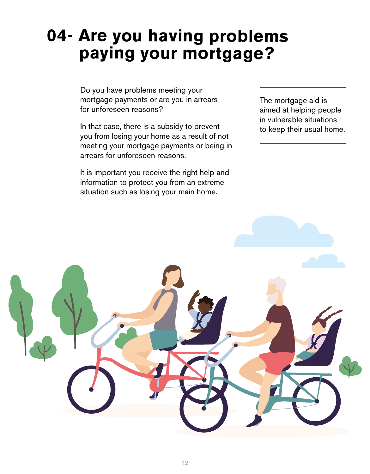### **04- Are you having problems paying your mortgage?**

Do you have problems meeting your mortgage payments or are you in arrears for unforeseen reasons?

In that case, there is a subsidy to prevent you from losing your home as a result of not meeting your mortgage payments or being in arrears for unforeseen reasons.

It is important you receive the right help and information to protect you from an extreme situation such as losing your main home.

The mortgage aid is aimed at helping people in vulnerable situations to keep their usual home.

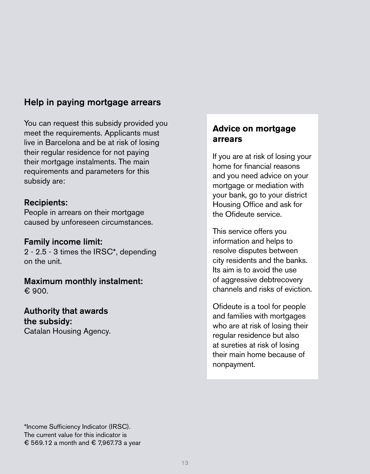#### Help in paying mortgage arrears

You can request this subsidy provided you meet the requirements. Applicants must live in Barcelona and be at risk of losing their regular residence for not paying their mortgage instalments. The main requirements and parameters for this subsidy are:

#### Recipients:

People in arrears on their mortgage caused by unforeseen circumstances.

#### Family income limit:

2 - 2.5 - 3 times the IRSC\*, depending on the unit.

Maximum monthly instalment:  $\epsilon$  900.

Authority that awards the subsidy:

Catalan Housing Agency.

#### **Advice on mortgage arrears**

If you are at risk of losing your home for financial reasons and you need advice on your mortgage or mediation with your bank, go to your district Housing Office and ask for the Ofideute service.

This service offers you information and helps to resolve disputes between city residents and the banks. Its aim is to avoid the use of aggressive debtrecovery channels and risks of eviction.

Ofideute is a tool for people and families with mortgages who are at risk of losing their regular residence but also at sureties at risk of losing their main home because of nonpayment.

\*Income Sufficiency Indicator (IRSC). The current value for this indicator is € 569.12 a month and € 7,967.73 a year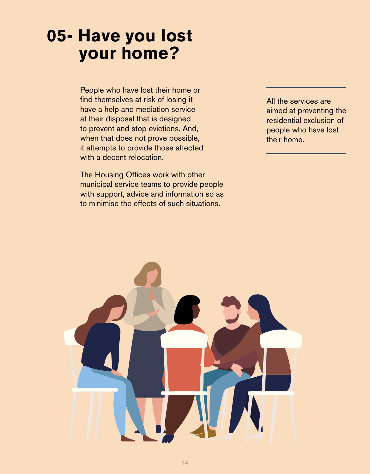### **05- Have you lost your home?**

People who have lost their home or find themselves at risk of losing it have a help and mediation service at their disposal that is designed to prevent and stop evictions. And, when that does not prove possible, it attempts to provide those affected with a decent relocation.

The Housing Offices work with other municipal service teams to provide people with support, advice and information so as to minimise the effects of such situations.

All the services are aimed at preventing the residential exclusion of people who have lost their home.

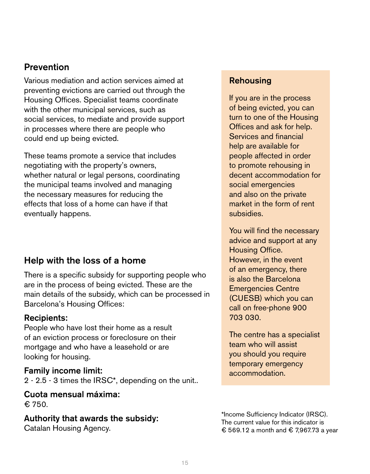#### Prevention

Various mediation and action services aimed at preventing evictions are carried out through the Housing Offices. Specialist teams coordinate with the other municipal services, such as social services, to mediate and provide support in processes where there are people who could end up being evicted.

These teams promote a service that includes negotiating with the property's owners, whether natural or legal persons, coordinating the municipal teams involved and managing the necessary measures for reducing the effects that loss of a home can have if that eventually happens.

#### Help with the loss of a home

There is a specific subsidy for supporting people who are in the process of being evicted. These are the main details of the subsidy, which can be processed in Barcelona's Housing Offices:

#### Recipients:

People who have lost their home as a result of an eviction process or foreclosure on their mortgage and who have a leasehold or are looking for housing.

#### Family income limit:

2 - 2.5 - 3 times the IRSC\*, depending on the unit..

#### Cuota mensual máxima:

€ 750.

### Authority that awards the subsidy:

Catalan Housing Agency.

#### Rehousing

If you are in the process of being evicted, you can turn to one of the Housing Offices and ask for help. Services and financial help are available for people affected in order to promote rehousing in decent accommodation for social emergencies and also on the private market in the form of rent subsidies.

You will find the necessary advice and support at any Housing Office. However, in the event of an emergency, there is also the Barcelona Emergencies Centre (CUESB) which you can call on free-phone 900 703 030.

The centre has a specialist team who will assist you should you require temporary emergency accommodation.

\*Income Sufficiency Indicator (IRSC). The current value for this indicator is € 569.12 a month and € 7,967.73 a year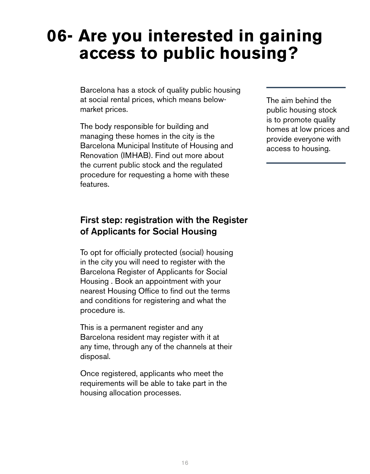### **06- Are you interested in gaining access to public housing?**

Barcelona has a stock of quality public housing at social rental prices, which means belowmarket prices.

The body responsible for building and managing these homes in the city is the Barcelona Municipal Institute of Housing and Renovation (IMHAB). Find out more about the current public stock and the regulated procedure for requesting a home with these features.

The aim behind the public housing stock is to promote quality homes at low prices and provide everyone with access to housing.

#### First step: registration with the Register of Applicants for Social Housing

To opt for officially protected (social) housing in the city you will need to register with the Barcelona Register of Applicants for Social Housing . Book an appointment with your nearest Housing Office to find out the terms and conditions for registering and what the procedure is.

This is a permanent register and any Barcelona resident may register with it at any time, through any of the channels at their disposal.

Once registered, applicants who meet the requirements will be able to take part in the housing allocation processes.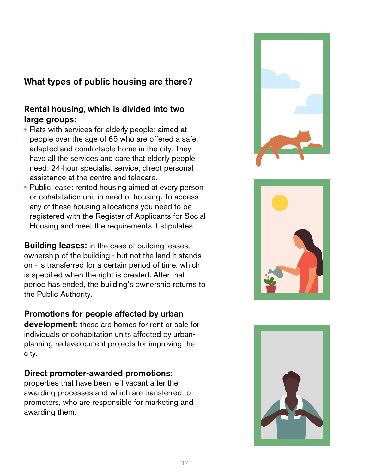#### What types of public housing are there?

#### Rental housing, which is divided into two large groups:

- Flats with services for elderly people: aimed at people over the age of 65 who are offered a safe, adapted and comfortable home in the city. They have all the services and care that elderly people need: 24-hour specialist service, direct personal assistance at the centre and telecare.
- Public lease: rented housing aimed at every person or cohabitation unit in need of housing. To access any of these housing allocations you need to be registered with the Register of Applicants for Social Housing and meet the requirements it stipulates.

**Building leases:** in the case of building leases, ownership of the building - but not the land it stands on - is transferred for a certain period of time, which is specified when the right is created. After that period has ended, the building's ownership returns to the Public Authority.

#### Promotions for people affected by urban

development: these are homes for rent or sale for individuals or cohabitation units affected by urbanplanning redevelopment projects for improving the city.

#### Direct promoter-awarded promotions:

properties that have been left vacant after the awarding processes and which are transferred to promoters, who are responsible for marketing and awarding them.





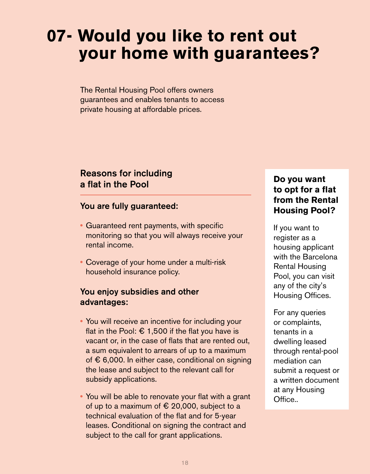### **07- Would you like to rent out your home with guarantees?**

The Rental Housing Pool offers owners guarantees and enables tenants to access private housing at affordable prices.

#### Reasons for including a flat in the Pool

#### You are fully guaranteed:

- Guaranteed rent payments, with specific monitoring so that you will always receive your rental income.
- Coverage of your home under a multi-risk household insurance policy.

#### You enjoy subsidies and other advantages:

- You will receive an incentive for including your flat in the Pool:  $\epsilon$  1,500 if the flat you have is vacant or, in the case of flats that are rented out, a sum equivalent to arrears of up to a maximum of € 6,000. In either case, conditional on signing the lease and subject to the relevant call for subsidy applications.
- You will be able to renovate your flat with a grant of up to a maximum of  $\epsilon$  20,000, subject to a technical evaluation of the flat and for 5-year leases. Conditional on signing the contract and subject to the call for grant applications.

#### **Do you want to opt for a flat from the Rental Housing Pool?**

If you want to register as a housing applicant with the Barcelona Rental Housing Pool, you can visit any of the city's Housing Offices.

For any queries or complaints, tenants in a dwelling leased through rental-pool mediation can submit a request or a written document at any Housing Office.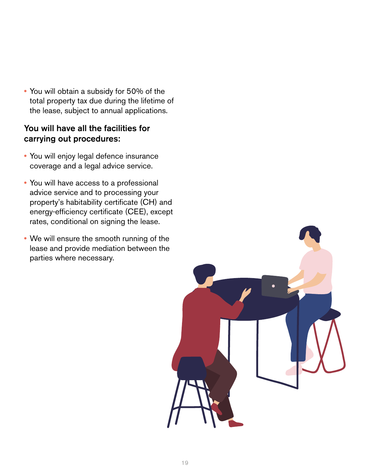• You will obtain a subsidy for 50% of the total property tax due during the lifetime of the lease, subject to annual applications.

#### You will have all the facilities for carrying out procedures:

- You will enjoy legal defence insurance coverage and a legal advice service.
- You will have access to a professional advice service and to processing your property's habitability certificate (CH) and energy-efficiency certificate (CEE), except rates, conditional on signing the lease.
- We will ensure the smooth running of the lease and provide mediation between the parties where necessary.

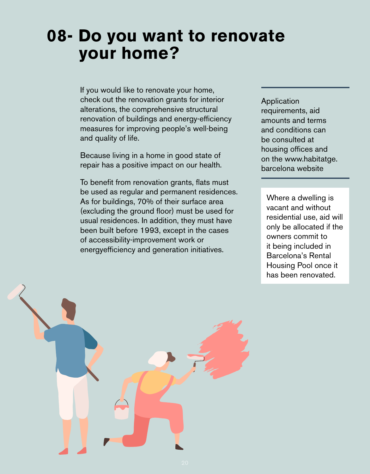### **08- Do you want to renovate your home?**

If you would like to renovate your home, check out the renovation grants for interior alterations, the comprehensive structural renovation of buildings and energy-efficiency measures for improving people's well-being and quality of life.

Because living in a home in good state of repair has a positive impact on our health.

To benefit from renovation grants, flats must be used as regular and permanent residences. As for buildings, 70% of their surface area (excluding the ground floor) must be used for usual residences. In addition, they must have been built before 1993, except in the cases of accessibility-improvement work or energyefficiency and generation initiatives.

**Application** requirements, aid amounts and terms and conditions can be consulted at housing offices and on the [www.habitatge.](www.habitatge.barcelona) [barcelona](www.habitatge.barcelona) website

Where a dwelling is vacant and without residential use, aid will only be allocated if the owners commit to it being included in Barcelona's Rental Housing Pool once it has been renovated.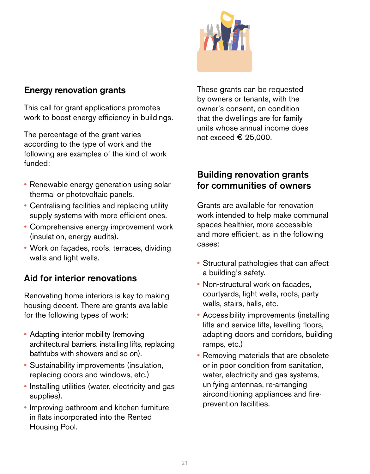

#### Energy renovation grants

This call for grant applications promotes work to boost energy efficiency in buildings.

The percentage of the grant varies according to the type of work and the following are examples of the kind of work funded:

- Renewable energy generation using solar thermal or photovoltaic panels.
- Centralising facilities and replacing utility supply systems with more efficient ones.
- Comprehensive energy improvement work (insulation, energy audits).
- Work on façades, roofs, terraces, dividing walls and light wells.

#### Aid for interior renovations

Renovating home interiors is key to making housing decent. There are grants available for the following types of work:

- Adapting interior mobility (removing architectural barriers, installing lifts, replacing bathtubs with showers and so on).
- Sustainability improvements (insulation, replacing doors and windows, etc.)
- Installing utilities (water, electricity and gas supplies).
- Improving bathroom and kitchen furniture in flats incorporated into the Rented Housing Pool.

These grants can be requested by owners or tenants, with the owner's consent, on condition that the dwellings are for family units whose annual income does not exceed € 25,000.

#### Building renovation grants for communities of owners

Grants are available for renovation work intended to help make communal spaces healthier, more accessible and more efficient, as in the following cases:

- Structural pathologies that can affect a building's safety.
- Non-structural work on facades, courtyards, light wells, roofs, party walls, stairs, halls, etc.
- Accessibility improvements (installing lifts and service lifts, levelling floors, adapting doors and corridors, building ramps, etc.)
- Removing materials that are obsolete or in poor condition from sanitation, water, electricity and gas systems, unifying antennas, re-arranging airconditioning appliances and fireprevention facilities.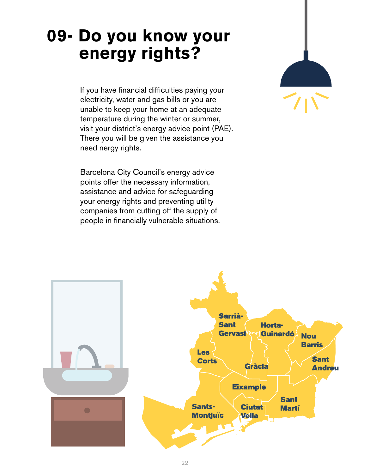### **09- Do you know your energy rights?**

If you have financial difficulties paying your electricity, water and gas bills or you are unable to keep your home at an adequate temperature during the winter or summer, visit your district's energy advice point (PAE). There you will be given the assistance you need nergy rights.

Barcelona City Council's energy advice points offer the necessary information, assistance and advice for safeguarding your energy rights and preventing utility companies from cutting off the supply of people in financially vulnerable situations.



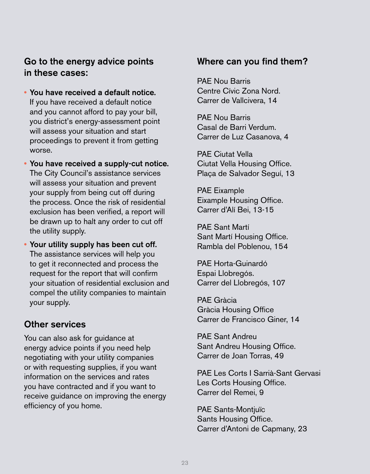#### Go to the energy advice points in these cases:

- You have received a default notice. If you have received a default notice and you cannot afford to pay your bill, you district's energy-assessment point will assess your situation and start proceedings to prevent it from getting worse.
- You have received a supply-cut notice. The City Council's assistance services will assess your situation and prevent your supply from being cut off during the process. Once the risk of residential exclusion has been verified, a report will be drawn up to halt any order to cut off the utility supply.
- Your utility supply has been cut off. The assistance services will help you to get it reconnected and process the request for the report that will confirm your situation of residential exclusion and compel the utility companies to maintain your supply.

#### Other services

You can also ask for guidance at energy advice points if you need help negotiating with your utility companies or with requesting supplies, if you want information on the services and rates you have contracted and if you want to receive guidance on improving the energy efficiency of you home.

#### Where can you find them?

PAE Nou Barris Centre Cívic Zona Nord. Carrer de Vallcivera, 14

PAE Nou Barris Casal de Barri Verdum. Carrer de Luz Casanova, 4

PAE Ciutat Vella Ciutat Vella Housing Office. Plaça de Salvador Seguí, 13

PAE Eixample Eixample Housing Office. Carrer d'Alí Bei, 13-15

PAE Sant Martí Sant Martí Housing Office. Rambla del Poblenou, 154

PAE Horta-Guinardó Espai Llobregós. Carrer del Llobregós, 107

PAE Gràcia Gràcia Housing Office Carrer de Francisco Giner, 14

PAE Sant Andreu Sant Andreu Housing Office. Carrer de Joan Torras, 49

PAE Les Corts I Sarrià-Sant Gervasi Les Corts Housing Office. Carrer del Remei, 9

PAE Sants-Montjuïc Sants Housing Office. Carrer d'Antoni de Capmany, 23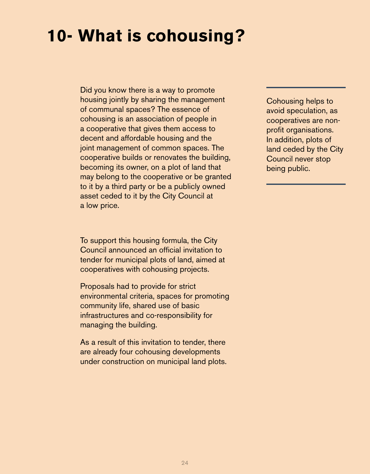### **10- What is cohousing?**

Did you know there is a way to promote housing jointly by sharing the management of communal spaces? The essence of cohousing is an association of people in a cooperative that gives them access to decent and affordable housing and the joint management of common spaces. The cooperative builds or renovates the building, becoming its owner, on a plot of land that may belong to the cooperative or be granted to it by a third party or be a publicly owned asset ceded to it by the City Council at a low price.

To support this housing formula, the City Council announced an official invitation to tender for municipal plots of land, aimed at cooperatives with cohousing projects.

Proposals had to provide for strict environmental criteria, spaces for promoting community life, shared use of basic infrastructures and co-responsibility for managing the building.

As a result of this invitation to tender, there are already four cohousing developments under construction on municipal land plots. Cohousing helps to avoid speculation, as cooperatives are nonprofit organisations. In addition, plots of land ceded by the City Council never stop being public.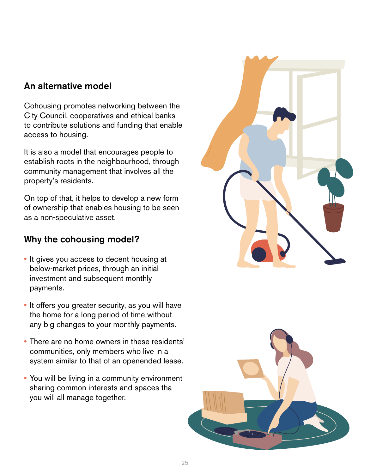#### An alternative model

Cohousing promotes networking between the City Council, cooperatives and ethical banks to contribute solutions and funding that enable access to housing.

It is also a model that encourages people to establish roots in the neighbourhood, through community management that involves all the property's residents.

On top of that, it helps to develop a new form of ownership that enables housing to be seen as a non-speculative asset.

#### Why the cohousing model?

- It gives you access to decent housing at below-market prices, through an initial investment and subsequent monthly payments.
- It offers you greater security, as you will have the home for a long period of time without any big changes to your monthly payments.
- There are no home owners in these residents' communities, only members who live in a system similar to that of an openended lease.
- You will be living in a community environment sharing common interests and spaces tha you will all manage together.



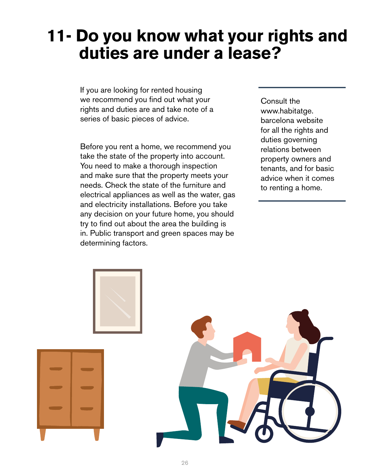### **11- Do you know what your rights and duties are under a lease?**

If you are looking for rented housing we recommend you find out what your rights and duties are and take note of a series of basic pieces of advice.

Before you rent a home, we recommend you take the state of the property into account. You need to make a thorough inspection and make sure that the property meets your needs. Check the state of the furniture and electrical appliances as well as the water, gas and electricity installations. Before you take any decision on your future home, you should try to find out about the area the building is in. Public transport and green spaces may be determining factors.

Consult the [www.habitatge.](www.habitatge.barcelona) [barcelona](www.habitatge.barcelona) website for all the rights and duties governing relations between property owners and tenants, and for basic advice when it comes to renting a home.

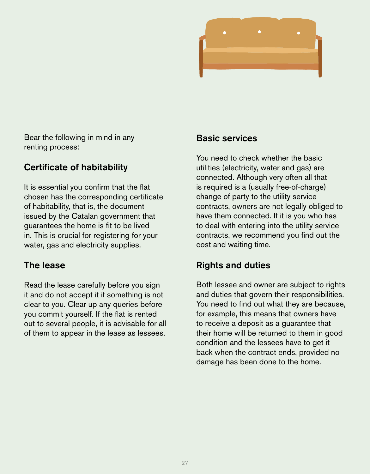

Bear the following in mind in any renting process:

#### Certificate of habitability

It is essential you confirm that the flat chosen has the corresponding certificate of habitability, that is, the document issued by the Catalan government that guarantees the home is fit to be lived in. This is crucial for registering for your water, gas and electricity supplies.

#### The lease

Read the lease carefully before you sign it and do not accept it if something is not clear to you. Clear up any queries before you commit yourself. If the flat is rented out to several people, it is advisable for all of them to appear in the lease as lessees.

#### Basic services

You need to check whether the basic utilities (electricity, water and gas) are connected. Although very often all that is required is a (usually free-of-charge) change of party to the utility service contracts, owners are not legally obliged to have them connected. If it is you who has to deal with entering into the utility service contracts, we recommend you find out the cost and waiting time.

#### Rights and duties

Both lessee and owner are subject to rights and duties that govern their responsibilities. You need to find out what they are because, for example, this means that owners have to receive a deposit as a guarantee that their home will be returned to them in good condition and the lessees have to get it back when the contract ends, provided no damage has been done to the home.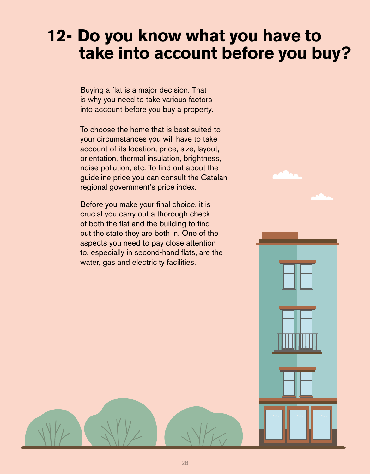### **12- Do you know what you have to take into account before you buy?**

Buying a flat is a major decision. That is why you need to take various factors into account before you buy a property.

To choose the home that is best suited to your circumstances you will have to take account of its location, price, size, layout, orientation, thermal insulation, brightness, noise pollution, etc. To find out about the guideline price you can consult the Catalan regional government's price index.

Before you make your final choice, it is crucial you carry out a thorough check of both the flat and the building to find out the state they are both in. One of the aspects you need to pay close attention to, especially in second-hand flats, are the water, gas and electricity facilities.

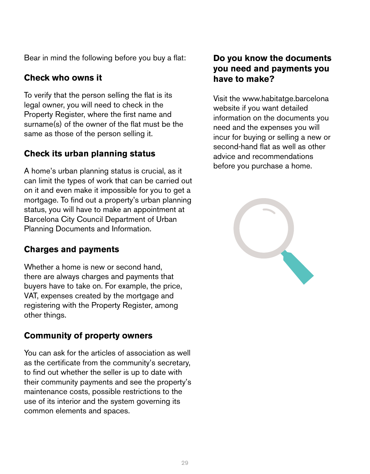Bear in mind the following before you buy a flat:

#### **Check who owns it**

To verify that the person selling the flat is its legal owner, you will need to check in the Property Register, where the first name and surname(s) of the owner of the flat must be the same as those of the person selling it.

#### **Check its urban planning status**

A home's urban planning status is crucial, as it can limit the types of work that can be carried out on it and even make it impossible for you to get a mortgage. To find out a property's urban planning status, you will have to make an appointment at Barcelona City Council Department of Urban Planning Documents and Information.

#### **Charges and payments**

Whether a home is new or second hand, there are always charges and payments that buyers have to take on. For example, the price, VAT, expenses created by the mortgage and registering with the Property Register, among other things.

#### **Community of property owners**

You can ask for the articles of association as well as the certificate from the community's secretary, to find out whether the seller is up to date with their community payments and see the property's maintenance costs, possible restrictions to the use of its interior and the system governing its common elements and spaces.

#### **Do you know the documents you need and payments you have to make?**

Visit the<www.habitatge.barcelona> website if you want detailed information on the documents you need and the expenses you will incur for buying or selling a new or second-hand flat as well as other advice and recommendations before you purchase a home.

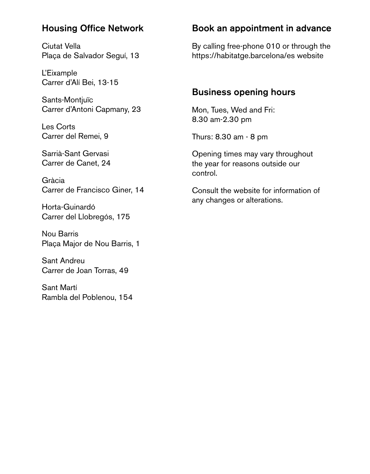#### Housing Office Network

Ciutat Vella Plaça de Salvador Seguí, 13

L'Eixample Carrer d'Alí Bei, 13-15

Sants-Montjuïc Carrer d'Antoni Capmany, 23

Les Corts Carrer del Remei, 9

Sarrià-Sant Gervasi Carrer de Canet, 24

Gràcia Carrer de Francisco Giner, 14

Horta-Guinardó Carrer del Llobregós, 175

Nou Barris Plaça Major de Nou Barris, 1

Sant Andreu Carrer de Joan Torras, 49

Sant Martí Rambla del Poblenou, 154

#### Book an appointment in advance

By calling free-phone 010 or through the <https://habitatge.barcelona/es> website

#### Business opening hours

Mon, Tues, Wed and Fri: 8.30 am-2.30 pm

Thurs: 8.30 am - 8 pm

Opening times may vary throughout the year for reasons outside our control.

Consult the website for information of any changes or alterations.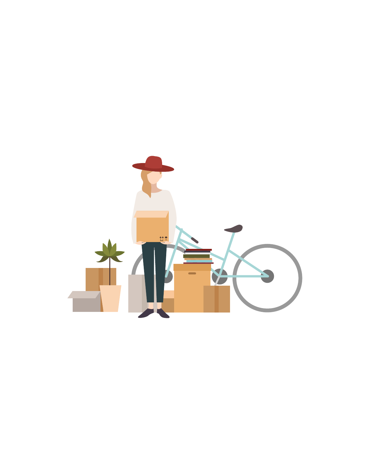